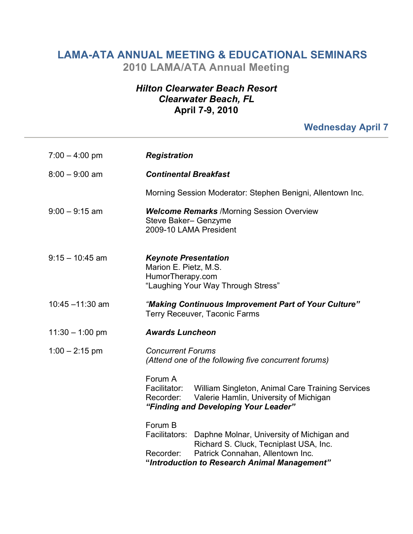## **LAMA-ATA ANNUAL MEETING & EDUCATIONAL SEMINARS 2010 LAMA/ATA Annual Meeting**

## *Hilton Clearwater Beach Resort Clearwater Beach, FL* **April 7-9, 2010**

## **Wednesday April 7**

| $7:00 - 4:00 \text{ pm}$ | <b>Registration</b>                                                                                                                                                                                              |
|--------------------------|------------------------------------------------------------------------------------------------------------------------------------------------------------------------------------------------------------------|
| $8:00 - 9:00$ am         | <b>Continental Breakfast</b>                                                                                                                                                                                     |
|                          | Morning Session Moderator: Stephen Benigni, Allentown Inc.                                                                                                                                                       |
| $9:00 - 9:15$ am         | <b>Welcome Remarks /Morning Session Overview</b><br>Steve Baker- Genzyme<br>2009-10 LAMA President                                                                                                               |
| $9:15 - 10:45$ am        | <b>Keynote Presentation</b><br>Marion E. Pietz, M.S.<br>HumorTherapy.com<br>"Laughing Your Way Through Stress"                                                                                                   |
| $10:45 - 11:30$ am       | "Making Continuous Improvement Part of Your Culture"<br>Terry Receuver, Taconic Farms                                                                                                                            |
| $11:30 - 1:00$ pm        | <b>Awards Luncheon</b>                                                                                                                                                                                           |
| $1:00 - 2:15$ pm         | <b>Concurrent Forums</b><br>(Attend one of the following five concurrent forums)                                                                                                                                 |
|                          | Forum A<br>William Singleton, Animal Care Training Services<br>Facilitator:<br>Valerie Hamlin, University of Michigan<br>Recorder:<br>"Finding and Developing Your Leader"                                       |
|                          | Forum B<br>Facilitators:<br>Daphne Molnar, University of Michigan and<br>Richard S. Cluck, Tecniplast USA, Inc.<br>Patrick Connahan, Allentown Inc.<br>Recorder:<br>"Introduction to Research Animal Management" |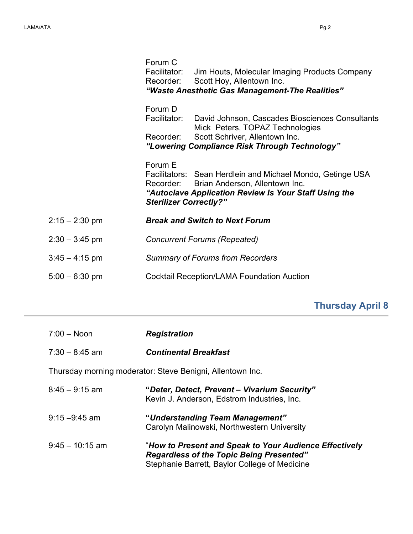|                  | Forum C<br>Facilitator:<br>Recorder:                  | Jim Houts, Molecular Imaging Products Company<br>Scott Hoy, Allentown Inc.<br>"Waste Anesthetic Gas Management-The Realities"                                         |
|------------------|-------------------------------------------------------|-----------------------------------------------------------------------------------------------------------------------------------------------------------------------|
|                  | Forum D<br>Facilitator:<br>Recorder:                  | David Johnson, Cascades Biosciences Consultants<br>Mick Peters, TOPAZ Technologies<br>Scott Schriver, Allentown Inc.<br>"Lowering Compliance Risk Through Technology" |
|                  | Forum E<br>Recorder:<br><b>Sterilizer Correctly?"</b> | Facilitators: Sean Herdlein and Michael Mondo, Getinge USA<br>Brian Anderson, Allentown Inc.<br>"Autoclave Application Review Is Your Staff Using the                 |
| $2:15 - 2:30$ pm |                                                       | <b>Break and Switch to Next Forum</b>                                                                                                                                 |
| $2:30 - 3:45$ pm |                                                       | <b>Concurrent Forums (Repeated)</b>                                                                                                                                   |
| $3:45 - 4:15$ pm |                                                       | <b>Summary of Forums from Recorders</b>                                                                                                                               |
| $5:00 - 6:30$ pm |                                                       | Cocktail Reception/LAMA Foundation Auction                                                                                                                            |

## **Thursday April 8**

| $7:00 - N$ oon                                            | <b>Registration</b>                                                                                                                                        |  |
|-----------------------------------------------------------|------------------------------------------------------------------------------------------------------------------------------------------------------------|--|
| $7.30 - 8.45$ am                                          | <b>Continental Breakfast</b>                                                                                                                               |  |
| Thursday morning moderator: Steve Benigni, Allentown Inc. |                                                                                                                                                            |  |
| $8:45 - 9:15$ am                                          | "Deter, Detect, Prevent – Vivarium Security"<br>Kevin J. Anderson, Edstrom Industries, Inc.                                                                |  |
| $9:15 - 9:45$ am                                          | "Understanding Team Management"<br>Carolyn Malinowski, Northwestern University                                                                             |  |
| $9.45 - 10.15$ am                                         | "How to Present and Speak to Your Audience Effectively<br><b>Regardless of the Topic Being Presented"</b><br>Stephanie Barrett, Baylor College of Medicine |  |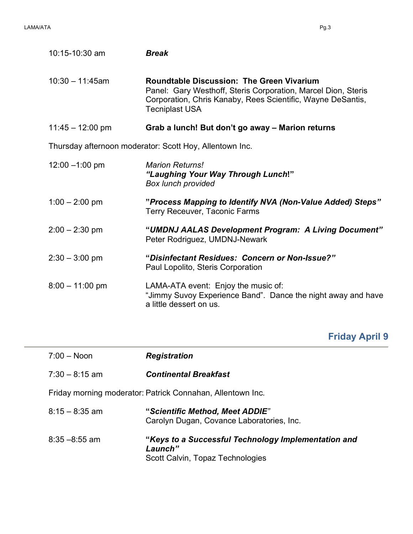÷

| 10:15-10:30 am                                          | <b>Break</b>                                                                                                                                                                                              |  |
|---------------------------------------------------------|-----------------------------------------------------------------------------------------------------------------------------------------------------------------------------------------------------------|--|
| $10:30 - 11:45$ am                                      | <b>Roundtable Discussion: The Green Vivarium</b><br>Panel: Gary Westhoff, Steris Corporation, Marcel Dion, Steris<br>Corporation, Chris Kanaby, Rees Scientific, Wayne DeSantis,<br><b>Tecniplast USA</b> |  |
| $11:45 - 12:00 \text{ pm}$                              | Grab a lunch! But don't go away - Marion returns                                                                                                                                                          |  |
| Thursday afternoon moderator: Scott Hoy, Allentown Inc. |                                                                                                                                                                                                           |  |
| $12:00 - 1:00$ pm                                       | <b>Marion Returns!</b><br>"Laughing Your Way Through Lunch!"<br><b>Box lunch provided</b>                                                                                                                 |  |
| $1:00 - 2:00$ pm                                        | "Process Mapping to Identify NVA (Non-Value Added) Steps"<br>Terry Receuver, Taconic Farms                                                                                                                |  |
| $2:00 - 2:30$ pm                                        | "UMDNJ AALAS Development Program: A Living Document"<br>Peter Rodriguez, UMDNJ-Newark                                                                                                                     |  |
| $2:30 - 3:00$ pm                                        | "Disinfectant Residues: Concern or Non-Issue?"<br>Paul Lopolito, Steris Corporation                                                                                                                       |  |
| $8:00 - 11:00$ pm                                       | LAMA-ATA event: Enjoy the music of:<br>"Jimmy Suvoy Experience Band". Dance the night away and have<br>a little dessert on us.                                                                            |  |

**Friday April 9**

| $7:00 - N$ oon                                             | <b>Registration</b>                                                                                |
|------------------------------------------------------------|----------------------------------------------------------------------------------------------------|
| $7:30 - 8:15$ am                                           | <b>Continental Breakfast</b>                                                                       |
| Friday morning moderator: Patrick Connahan, Allentown Inc. |                                                                                                    |
| $8:15 - 8:35$ am                                           | "Scientific Method, Meet ADDIE"<br>Carolyn Dugan, Covance Laboratories, Inc.                       |
| $8.35 - 8.55$ am                                           | "Keys to a Successful Technology Implementation and<br>Launch"<br>Scott Calvin, Topaz Technologies |